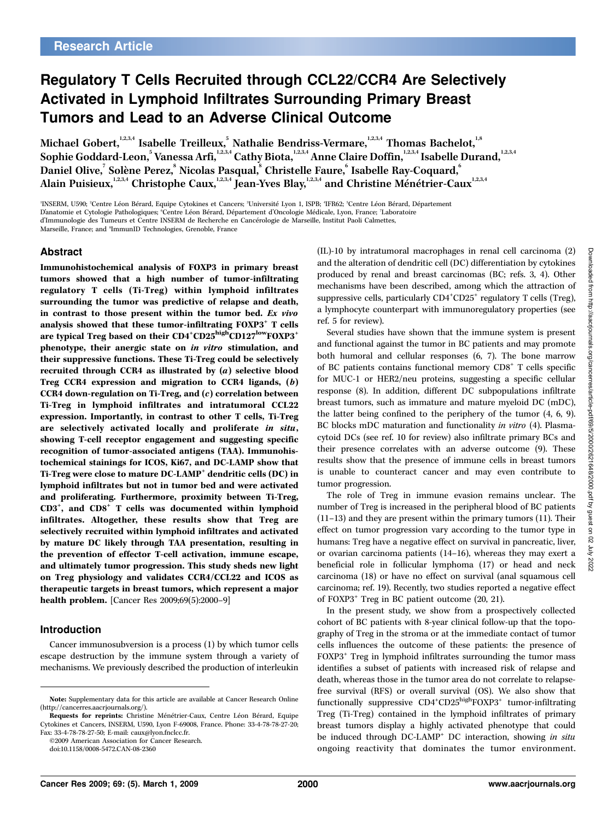# Regulatory T Cells Recruited through CCL22/CCR4 Are Selectively Activated in Lymphoid Infiltrates Surrounding Primary Breast Tumors and Lead to an Adverse Clinical Outcome

Michael Gobert, 1,2,3,4 Isabelle Treilleux.<sup>5</sup> Nathalie Bendriss-Vermare, 1,2,3,4 Thomas Bachelot.<sup>1,8</sup> Sophie Goddard-Leon,<sup>5</sup> Vanessa Arfi,<sup>1,2,3,4</sup> Cathy Biota,<sup>1,2,3,4</sup> Anne Claire Doffin,<sup>1,2,3,4</sup> Isabelle Durand,<sup>1,2,3,4</sup> Daniel Olive.<sup>7</sup> Solène Perez,<sup>8</sup> Nicolas Pasqual,<sup>8</sup> Christelle Faure.<sup>6</sup> Isabelle Ray-Coquard.<sup>6</sup> Alain Puisieux,<sup>1,2,3,4</sup> Christophe Caux,<sup>1,2,3,4</sup> Jean-Yves Blay,<sup>1,2,3,4</sup> and Christine Ménétrier-Caux<sup>1,2,3,4</sup>

'INSERM, U590; <del>'</del>Centre Léon Bérard, Equipe Cytokines et Cancers; 'Université Lyon 1, ISPB; 'IFR62; <sup>s</sup>Centre Léon Bérard, Département D'anatomie et Cytologie Pathologiques; 'Centre Léon Bérard, Département d'Oncologie Médicale, Lyon, France; 7Laboratoire d'Immunologie des Tumeurs et Centre INSERM de Recherche en Cancérologie de Marseille, Institut Paoli Calmettes,

Marseille, France; and <sup>8</sup>ImmunID Technologies, Grenoble, France

## Abstract

Immunohistochemical analysis of FOXP3 in primary breast tumors showed that a high number of tumor-infiltrating regulatory T cells (Ti-Treg) within lymphoid infiltrates surrounding the tumor was predictive of relapse and death, in contrast to those present within the tumor bed. Ex vivo analysis showed that these tumor-infiltrating FOXP3<sup>+</sup> T cells are typical Treg based on their CD4<sup>+</sup>CD25<sup>high</sup>CD127<sup>low</sup>FOXP3<sup>+</sup> phenotype, their anergic state on in vitro stimulation, and their suppressive functions. These Ti-Treg could be selectively recruited through CCR4 as illustrated by (a) selective blood Treg CCR4 expression and migration to CCR4 ligands,(b) CCR4 down-regulation on Ti-Treg, and  $(c)$  correlation between Ti-Treg in lymphoid infiltrates and intratumoral CCL22 expression. Importantly, in contrast to other T cells, Ti-Treg are selectively activated locally and proliferate in situ, showing T-cell receptor engagement and suggesting specific recognition of tumor-associated antigens (TAA). Immunohistochemical stainings for ICOS, Ki67, and DC-LAMP show that Ti-Treg were close to mature DC-LAMP<sup>+</sup> dendritic cells (DC) in lymphoid infiltrates but not in tumor bed and were activated and proliferating. Furthermore, proximity between Ti-Treg, CD3<sup>+</sup>, and CD8<sup>+</sup> T cells was documented within lymphoid infiltrates. Altogether, these results show that Treg are selectively recruited within lymphoid infiltrates and activated by mature DC likely through TAA presentation, resulting in the prevention of effector T-cell activation, immune escape, and ultimately tumor progression. This study sheds new light on Treg physiology and validates CCR4/CCL22 and ICOS as therapeutic targets in breast tumors, which represent a major health problem. [Cancer Res 2009;69(5):2000-9]

## Introduction

Cancer immunosubversion is a process (1) by which tumor cells escape destruction by the immune system through a variety of mechanisms. We previously described the production of interleukin

©2009 American Association for Cancer Research.

(IL)-10 by intratumoral macrophages in renal cell carcinoma (2) and the alteration of dendritic cell (DC) differentiation by cytokines produced by renal and breast carcinomas (BC; refs. 3, 4). Other mechanisms have been described, among which the attraction of suppressive cells, particularly  $CD4^+CD25^+$  regulatory T cells (Treg), a lymphocyte counterpart with immunoregulatory properties(see ref. 5 for review).

Several studies have shown that the immune system is present and functional against the tumor in BC patients and may promote both humoral and cellular responses (6, 7). The bone marrow of BC patients contains functional memory CD8<sup>+</sup> T cells specific for MUC-1 or HER2/neu proteins, suggesting a specific cellular response (8). In addition, different DC subpopulations infiltrate breast tumors, such as immature and mature myeloid DC (mDC), the latter being confined to the periphery of the tumor (4, 6, 9). BC blocks mDC maturation and functionality in vitro (4). Plasmacytoid DCs (see ref. 10 for review) also infiltrate primary BCs and their presence correlates with an adverse outcome (9). These results show that the presence of immune cells in breast tumors is unable to counteract cancer and may even contribute to tumor progression.

The role of Treg in immune evasion remains unclear. The number of Treg is increased in the peripheral blood of BC patients (11–13) and they are present within the primary tumors (11). Their effect on tumor progression vary according to the tumor type in humans: Treg have a negative effect on survival in pancreatic, liver, or ovarian carcinoma patients  $(14–16)$ , whereas they may exert a beneficial role in follicular lymphoma (17) or head and neck carcinoma (18) or have no effect on survival (anal squamous cell carcinoma; ref. 19). Recently, two studies reported a negative effect of FOXP3<sup>+</sup> Treg in BC patient outcome (20, 21).

In the present study, we show from a prospectively collected cohort of BC patients with 8-year clinical follow-up that the topography of Treg in the stroma or at the immediate contact of tumor cells influences the outcome of these patients: the presence of FOXP3<sup>+</sup> Treg in lymphoid infiltrates surrounding the tumor mass identifies a subset of patients with increased risk of relapse and death, whereas those in the tumor area do not correlate to relapsefree survival (RFS) or overall survival (OS). We also show that functionally suppressive  $CD4^+CD25^{\text{high}}$ FOXP3<sup>+</sup> tumor-infiltrating Treg (Ti-Treg) contained in the lymphoid infiltrates of primary breast tumors display a highly activated phenotype that could be induced through DC-LAMP<sup>+</sup> DC interaction, showing in situ ongoing reactivity that dominates the tumor environment.

Note: Supplementary data for this article are available at Cancer Research Online (http://cancerres.aacrjournals.org/).

Requests for reprints: Christine Ménétrier-Caux, Centre Léon Bérard, Equipe Cytokines et Cancers, INSERM, U590, Lyon F-69008, France. Phone: 33-4-78-78-27-20; Fax: 33-4-78-78-27-50; E-mail: caux@lyon.fnclcc.fr.

doi:10.1158/0008-5472.CAN-08-2360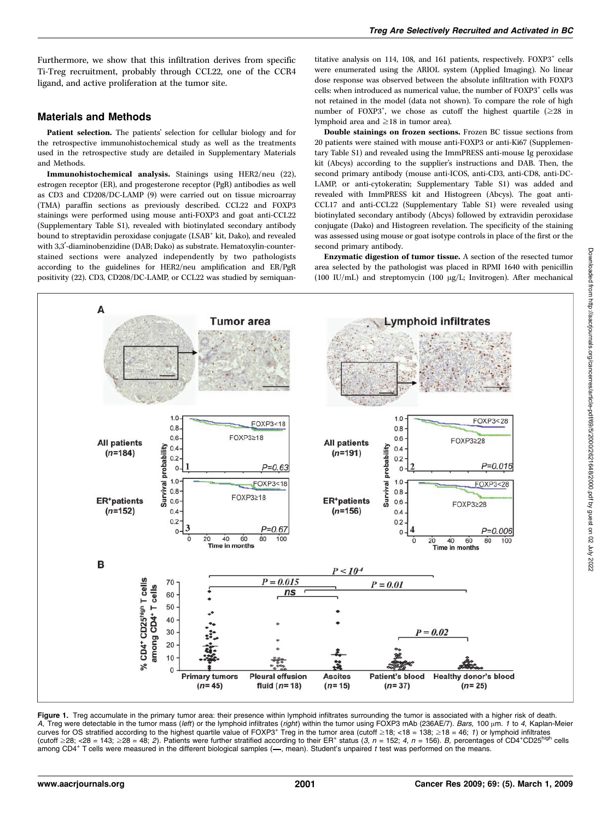Furthermore, we show that this infiltration derives from specific Ti-Treg recruitment, probably through CCL22, one of the CCR4 ligand, and active proliferation at the tumor site.

## Materials and Methods

Patient selection. The patients' selection for cellular biology and for the retrospective immunohistochemical study as well as the treatments used in the retrospective study are detailed in Supplementary Materials and Methods.

Immunohistochemical analysis. Stainings using HER2/neu (22), estrogen receptor (ER), and progesterone receptor (PgR) antibodies as well as CD3 and CD208/DC-LAMP (9) were carried out on tissue microarray (TMA) paraffin sections as previously described. CCL22 and FOXP3 stainings were performed using mouse anti-FOXP3 and goat anti-CCL22 (Supplementary Table S1), revealed with biotinylated secondary antibody bound to streptavidin peroxidase conjugate (LSAB<sup>+</sup> kit, Dako), and revealed with 3,3'-diaminobenzidine (DAB; Dako) as substrate. Hematoxylin-counterstained sections were analyzed independently by two pathologists according to the guidelines for HER2/neu amplification and ER/PgR positivity (22). CD3, CD208/DC-LAMP, or CCL22 was studied by semiquantitative analysis on 114, 108, and 161 patients, respectively.  $FOXP3^+$  cells were enumerated using the ARIOL system (Applied Imaging). No linear dose response was observed between the absolute infiltration with FOXP3 cells: when introduced as numerical value, the number of FOXP3<sup>+</sup> cells was not retained in the model (data not shown). To compare the role of high number of FOXP3<sup>+</sup>, we chose as cutoff the highest quartile  $(\geq 28)$  in lymphoid area and  $\geq$ 18 in tumor area).

Double stainings on frozen sections. Frozen BC tissue sections from 20 patients were stained with mouse anti-FOXP3 or anti-Ki67 (Supplementary Table S1) and revealed using the ImmPRESS anti-mouse Ig peroxidase kit (Abcys) according to the supplier's instructions and DAB. Then, the second primary antibody (mouse anti-ICOS, anti-CD3, anti-CD8, anti-DC-LAMP, or anti-cytokeratin; Supplementary Table S1) was added and revealed with ImmPRESS kit and Histogreen (Abcys). The goat anti-CCL17 and anti-CCL22 (Supplementary Table S1) were revealed using biotinylated secondary antibody (Abcys) followed by extravidin peroxidase conjugate (Dako) and Histogreen revelation. The specificity of the staining was assessed using mouse or goat isotype controls in place of the first or the second primary antibody.

Enzymatic digestion of tumor tissue. A section of the resected tumor area selected by the pathologist was placed in RPMI 1640 with penicillin (100 IU/mL) and streptomycin (100  $\mu$ g/L; Invitrogen). After mechanical



Figure 1. Treg accumulate in the primary tumor area: their presence within lymphoid infiltrates surrounding the tumor is associated with a higher risk of death. A, Treg were detectable in the tumor mass (left) or the lymphoid infiltrates (right) within the tumor using FOXP3 mAb (236AE/7). Bars, 100 µm. 1 to 4, Kaplan-Meier curves for OS stratified according to the highest quartile value of FOXP3<sup>+</sup> Treg in the tumor area (cutoff  $\geq 18$ ; <18 = 138;  $\geq 18 = 46$ ; 1) or lymphoid infiltrates (cutoff  $\geq$ 28; <28 = 143;  $\geq$ 28 = 48; 2). Patients were further stratified according to their ER<sup>+</sup> status (3, n = 152; 4, n = 156). B, percentages of CD4+CD25high cells among CD4<sup>+</sup> T cells were measured in the different biological samples  $\left(-\right)$ , mean). Student's unpaired t test was performed on the means.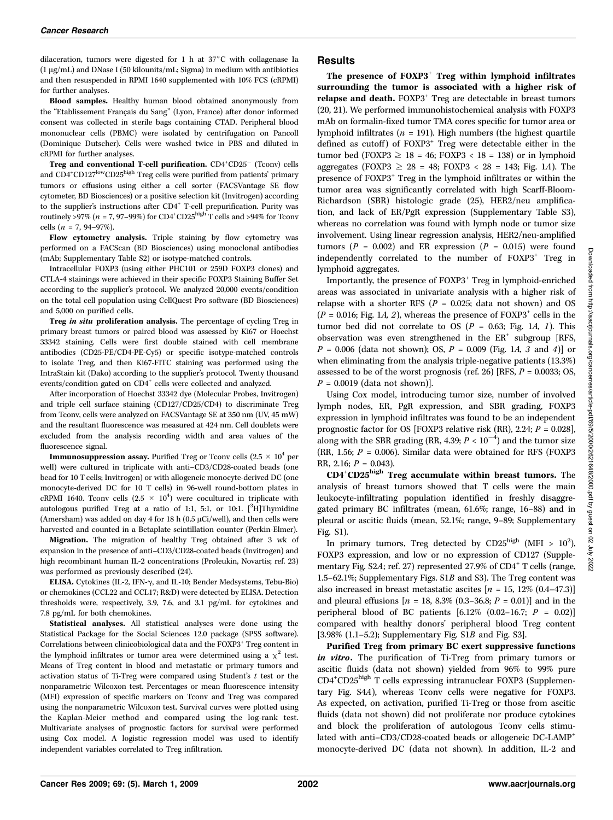dilaceration, tumors were digested for 1 h at  $37^{\circ}$ C with collagenase Ia  $(1 \mu g/mL)$  and DNase I (50 kilounits/mL; Sigma) in medium with antibiotics and then resuspended in RPMI 1640 supplemented with 10% FCS (cRPMI) for further analyses.

Blood samples. Healthy human blood obtained anonymously from the "Etablissement Français du Sang" (Lyon, France) after donor informed consent was collected in sterile bags containing CTAD. Peripheral blood mononuclear cells(PBMC) were isolated by centrifugation on Pancoll (Dominique Dutscher). Cells were washed twice in PBS and diluted in cRPMI for further analyses.

Treg and conventional T-cell purification.  $CD4^+CD25^-$  (Tconv) cells and CD4<sup>+</sup>CD127<sup>low</sup>CD25<sup>high</sup> Treg cells were purified from patients' primary tumors or effusions using either a cell sorter (FACSVantage SE flow cytometer, BD Biosciences) or a positive selection kit (Invitrogen) according to the supplier's instructions after CD4<sup>+</sup> T-cell prepurification. Purity was routinely >97% ( $n = 7$ , 97–99%) for CD4<sup>+</sup>CD25<sup>high</sup> T cells and >94% for Tconv cells ( $n = 7, 94-97%$ ).

Flow cytometry analysis. Triple staining by flow cytometry was performed on a FACScan (BD Biosciences) using monoclonal antibodies (mAb; Supplementary Table S2) or isotype-matched controls.

Intracellular FOXP3 (using either PHC101 or 259D FOXP3 clones) and CTLA-4 stainings were achieved in their specific FOXP3 Staining Buffer Set according to the supplier's protocol. We analyzed 20,000 events/condition on the total cell population using CellQuest Pro software (BD Biosciences) and 5,000 on purified cells.

Treg in situ proliferation analysis. The percentage of cycling Treg in primary breast tumors or paired blood was assessed by Ki67 or Hoechst 33342 staining. Cells were first double stained with cell membrane antibodies (CD25-PE/CD4-PE-Cy5) or specific isotype-matched controls to isolate Treg, and then Ki67-FITC staining was performed using the IntraStain kit (Dako) according to the supplier's protocol. Twenty thousand events/condition gated on CD4<sup>+</sup> cells were collected and analyzed.

After incorporation of Hoechst 33342 dye (Molecular Probes, Invitrogen) and triple cell surface staining (CD127/CD25/CD4) to discriminate Treg from Tconv, cells were analyzed on FACSVantage SE at 350 nm (UV, 45 mW) and the resultant fluorescence was measured at 424 nm. Cell doublets were excluded from the analysis recording width and area values of the fluorescence signal.

**Immunosuppression assay.** Purified Treg or Tconv cells (2.5  $\times$  10<sup>4</sup> per well) were cultured in triplicate with anti-CD3/CD28-coated beads (one bead for 10 T cells; Invitrogen) or with allogeneic monocyte-derived DC (one monocyte-derived DC for 10 T cells) in 96-well round-bottom plates in cRPMI 1640. Tconv cells  $(2.5 \times 10^4)$  were cocultured in triplicate with autologous purified Treg at a ratio of 1:1, 5:1, or 10:1. [<sup>3</sup>H]Thymidine (Amersham) was added on day 4 for 18 h (0.5  $\mu$ Ci/well), and then cells were harvested and counted in a Betaplate scintillation counter (Perkin-Elmer).

Migration. The migration of healthy Treg obtained after 3 wk of expansion in the presence of anti–CD3/CD28-coated beads (Invitrogen) and high recombinant human IL-2 concentrations(Proleukin, Novartis; ref. 23) was performed as previously described (24).

ELISA. Cytokines (IL-2, IFN- $\gamma$ , and IL-10; Bender Medsystems, Tebu-Bio) or chemokines(CCL22 and CCL17; R&D) were detected by ELISA. Detection thresholds were, respectively, 3.9, 7.6, and 3.1 pg/mL for cytokines and 7.8 pg/mL for both chemokines.

Statistical analyses. All statistical analyses were done using the Statistical Package for the Social Sciences 12.0 package (SPSS software). Correlations between clinicobiological data and the FOXP3<sup>+</sup> Treg content in the lymphoid infiltrates or tumor area were determined using a  $\chi^2$  test. Means of Treg content in blood and metastatic or primary tumors and activation status of Ti-Treg were compared using Student's  $t$  test or the nonparametric Wilcoxon test. Percentages or mean fluorescence intensity (MFI) expression of specific markers on Tconv and Treg was compared using the nonparametric Wilcoxon test. Survival curves were plotted using the Kaplan-Meier method and compared using the log-rank test. Multivariate analyses of prognostic factors for survival were performed using Cox model. A logistic regression model was used to identify independent variables correlated to Treg infiltration.

## Results

The presence of  $FOXP3<sup>+</sup>$  Treg within lymphoid infiltrates surrounding the tumor is associated with a higher risk of relapse and death. FOXP3<sup>+</sup> Treg are detectable in breast tumors (20, 21). We performed immunohistochemical analysis with FOXP3 mAb on formalin-fixed tumor TMA cores specific for tumor area or lymphoid infiltrates ( $n = 191$ ). High numbers (the highest quartile defined as cutoff) of  $FOXP3^+$  Treg were detectable either in the tumor bed (FOXP3  $\geq$  18 = 46; FOXP3 < 18 = 138) or in lymphoid aggregates (FOXP3  $\geq$  28 = 48; FOXP3 < 28 = 143; Fig. 1A). The presence of FOXP3<sup>+</sup> Treg in the lymphoid infiltrates or within the tumor area was significantly correlated with high Scarff-Bloom-Richardson (SBR) histologic grade (25), HER2/neu amplification, and lack of ER/PgR expression (Supplementary Table S3), whereas no correlation was found with lymph node or tumor size involvement. Using linear regression analysis, HER2/neu-amplified tumors ( $P = 0.002$ ) and ER expression ( $P = 0.015$ ) were found independently correlated to the number of FOXP3<sup>+</sup> Treg in lymphoid aggregates.

Importantly, the presence of FOXP3<sup>+</sup> Treg in lymphoid-enriched areas was associated in univariate analysis with a higher risk of relapse with a shorter RFS ( $P = 0.025$ ; data not shown) and OS ( $P = 0.016$ ; Fig. 1A, 2), whereas the presence of FOXP3<sup>+</sup> cells in the tumor bed did not correlate to OS ( $P = 0.63$ ; Fig. 1A, 1). This observation was even strengthened in the  $ER^+$  subgroup [RFS,  $P = 0.006$  (data not shown); OS,  $P = 0.009$  (Fig. 1A, 3 and 4)] or when eliminating from the analysis triple-negative patients (13.3%) assessed to be of the worst prognosis (ref. 26) [RFS,  $P = 0.0033$ ; OS,  $P = 0.0019$  (data not shown)].

Using Cox model, introducing tumor size, number of involved lymph nodes, ER, PgR expression, and SBR grading, FOXP3 expression in lymphoid infiltrates was found to be an independent prognostic factor for OS [FOXP3 relative risk (RR), 2.24;  $P = 0.028$ ], along with the SBR grading (RR, 4.39;  $P < 10^{-4}$ ) and the tumor size (RR, 1.56;  $P = 0.006$ ). Similar data were obtained for RFS (FOXP3 RR, 2.16;  $P = 0.043$ ).

CD4<sup>+</sup>CD25<sup>high</sup> Treg accumulate within breast tumors. The analysis of breast tumors showed that T cells were the main leukocyte-infiltrating population identified in freshly disaggregated primary BC infiltrates(mean, 61.6%; range, 16–88) and in pleural or ascitic fluids (mean, 52.1%; range, 9–89; Supplementary Fig. S1).

In primary tumors, Treg detected by  $CD25^{\text{high}}$  (MFI >  $10^2$ ), FOXP3 expression, and low or no expression of CD127 (Supplementary Fig.  $S2A$ ; ref. 27) represented 27.9% of  $CD4^+$  T cells (range, 1.5–62.1%; Supplementary Figs. S1B and S3). The Treg content was also increased in breast metastatic ascites  $[n = 15, 12\% (0.4-47.3)]$ and pleural effusions  $[n = 18, 8.3\% (0.3-36.8; P = 0.01)]$  and in the peripheral blood of BC patients  $[6.12\% (0.02-16.7; P = 0.02)]$ compared with healthy donors' peripheral blood Treg content [3.98% (1.1–5.2); Supplementary Fig. S1B and Fig. S3].

Purified Treg from primary BC exert suppressive functions in vitro. The purification of Ti-Treg from primary tumors or ascitic fluids (data not shown) yielded from 96% to 99% pure CD4<sup>+</sup> CD25high T cells expressing intranuclear FOXP3 (Supplementary Fig. S4A), whereas Tconv cells were negative for FOXP3. As expected, on activation, purified Ti-Treg or those from ascitic fluids (data not shown) did not proliferate nor produce cytokines and block the proliferation of autologous Tconv cells stimulated with anti-CD3/CD28-coated beads or allogeneic DC-LAMP<sup>+</sup> monocyte-derived DC (data not shown). In addition, IL-2 and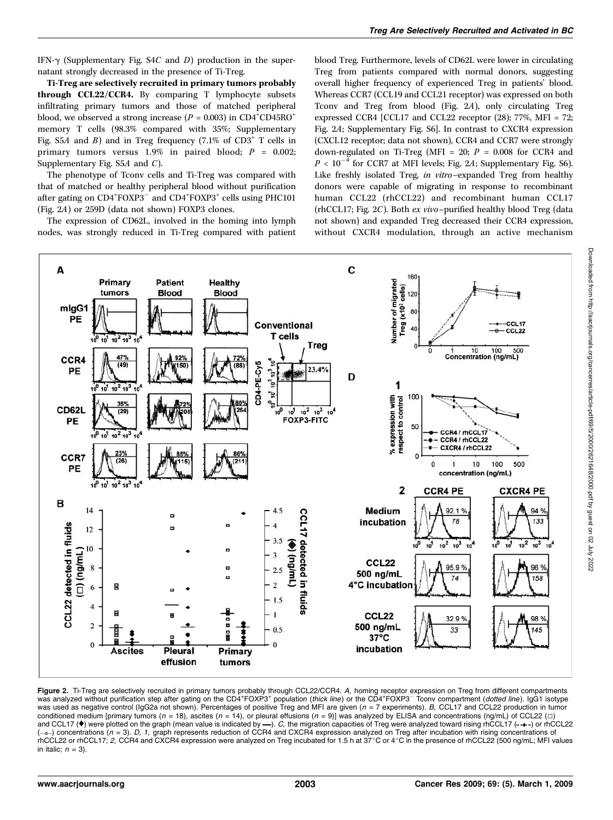IFN- $\gamma$  (Supplementary Fig. S4C and D) production in the supernatant strongly decreased in the presence of Ti-Treg.

Ti-Treg are selectively recruited in primary tumors probably through CCL22/CCR4. By comparing T lymphocyte subsets infiltrating primary tumors and those of matched peripheral blood, we observed a strong increase ( $P = 0.003$ ) in CD4<sup>+</sup>CD45RO<sup>+</sup> memory T cells (98.3% compared with 35%; Supplementary Fig. S5A and B) and in Treg frequency  $(7.1\% \text{ of } CD3^+ \text{ T cells in})$ primary tumors versus 1.9% in paired blood;  $P = 0.002$ ; Supplementary Fig. S5A and C).

The phenotype of Tconv cells and Ti-Treg was compared with that of matched or healthy peripheral blood without purification after gating on CD4<sup>+</sup>FOXP3<sup>-</sup> and CD4<sup>+</sup>FOXP3<sup>+</sup> cells using PHC101 (Fig. 2A) or 259D (data not shown) FOXP3 clones.

The expression of CD62L, involved in the homing into lymph nodes, was strongly reduced in Ti-Treg compared with patient blood Treg. Furthermore, levels of CD62L were lower in circulating Treg from patients compared with normal donors, suggesting overall higher frequency of experienced Treg in patients' blood. Whereas CCR7 (CCL19 and CCL21 receptor) was expressed on both Tconv and Treg from blood (Fig. 2A), only circulating Treg expressed CCR4 [CCL17 and CCL22 receptor (28); 77%, MFI = 72; Fig. 2A; Supplementary Fig. S6]. In contrast to CXCR4 expression (CXCL12 receptor; data not shown), CCR4 and CCR7 were strongly down-regulated on Ti-Treg (MFI = 20;  $P = 0.008$  for CCR4 and  $P < 10^{-4}$  for CCR7 at MFI levels; Fig. 2A; Supplementary Fig. S6). Like freshly isolated Treg, in vitro–expanded Treg from healthy donors were capable of migrating in response to recombinant human CCL22 (rhCCL22) and recombinant human CCL17 (rhCCL17; Fig. 2C). Both ex vivo–purified healthy blood Treg (data not shown) and expanded Treg decreased their CCR4 expression, without CXCR4 modulation, through an active mechanism



**Figure 2.** Ti-Treg are selectively recruited in primary tumors probably through CCL22/CCR4. *A,* homing receptor expression on Treg from different compartments<br>was analyzed without purification step after gating on the CD was used as negative control (IgG2a not shown). Percentages of positive Treg and MFI are given ( $n = 7$  experiments). B, CCL17 and CCL22 production in tumor conditioned medium [primary tumors ( $n = 18$ ), ascites ( $n = 14$ ), or pleural effusions ( $n = 9$ )] was analyzed by ELISA and concentrations (ng/mL) of CCL22 ( $\Box$ ) and CCL17 ( $\bullet$ ) were plotted on the graph (mean value is indicated by  $\rightarrow$ ). C, the migration capacities of Treg were analyzed toward rising rhCCL17 (-+-) or rhCCL22  $(-\rightarrow)$  concentrations (n = 3). D, 1, graph represents reduction of CCR4 and CXCR4 expression analyzed on Treg after incubation with rising concentrations of rhCCL22 or rhCCL17; 2, CCR4 and CXCR4 expression were analyzed on Treg incubated for 1.5 h at 37°C or 4°C in the presence of rhCCL22 (500 ng/mL; MFI values in italic;  $n = 3$ ).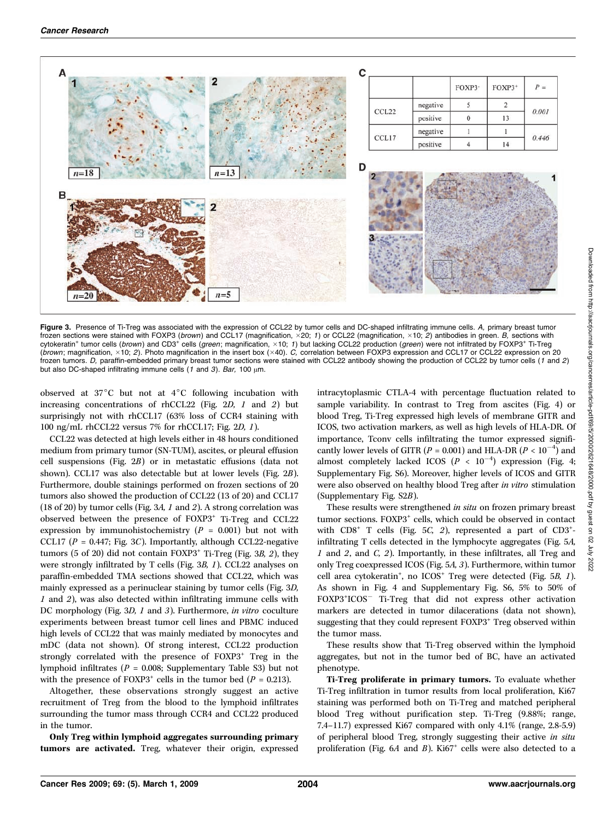

Figure 3. Presence of Ti-Treg was associated with the expression of CCL22 by tumor cells and DC-shaped infiltrating immune cells. A, primary breast tumor frozen sections were stained with FOXP3 (*brown*) and CCL17 (magnification, ×20; 1) or CCL22 (magnification, ×10; 2) antibodies in green. *B,* sections with cytokeratin<sup>+</sup> tumor cells (*brown*) and CD3<sup>+</sup> cells (*green*; magnification, ×10; 1) but lacking CCL22 production (*green*) were not infiltrated by FOXP3<sup>+</sup> Ti-Treg (brown; magnification,  $\times$ 10; 2). Photo magnification in the insert box ( $\times$ 40). C, correlation between FOXP3 expression and CCL17 or CCL22 expression on 20 frozen tumors. D, paraffin-embedded primary breast tumor sections were stained with CCL22 antibody showing the production of CCL22 by tumor cells (1 and 2) but also DC-shaped infiltrating immune cells  $(1 \text{ and } 3)$ . Bar, 100  $\mu$ m.

observed at  $37^{\circ}$ C but not at  $4^{\circ}$ C following incubation with increasing concentrations of rhCCL22 (Fig. 2D, 1 and 2) but surprisingly not with rhCCL17 (63% loss of CCR4 staining with 100 ng/mL rhCCL22 versus 7% for rhCCL17; Fig. 2D, 1).

CCL22 was detected at high levels either in 48 hours conditioned medium from primary tumor (SN-TUM), ascites, or pleural effusion cell suspensions (Fig. 2B) or in metastatic effusions (data not shown). CCL17 was also detectable but at lower levels (Fig. 2B). Furthermore, double stainings performed on frozen sections of 20 tumors also showed the production of CCL22 (13 of 20) and CCL17 (18 of 20) by tumor cells(Fig. 3A, 1 and 2). A strong correlation was observed between the presence of FOXP3<sup>+</sup> Ti-Treg and CCL22 expression by immunohistochemistry  $(P = 0.001)$  but not with CCL17 ( $P = 0.447$ ; Fig. 3C). Importantly, although CCL22-negative tumors (5 of 20) did not contain  $FOXP3^+$  Ti-Treg (Fig. 3B, 2), they were strongly infiltrated by T cells (Fig. 3B, 1). CCL22 analyses on paraffin-embedded TMA sections showed that CCL22, which was mainly expressed as a perinuclear staining by tumor cells (Fig. 3D,  $1$  and  $2$ ), was also detected within infiltrating immune cells with DC morphology (Fig. 3D, 1 and 3). Furthermore, in vitro coculture experiments between breast tumor cell lines and PBMC induced high levels of CCL22 that was mainly mediated by monocytes and mDC (data not shown). Of strong interest, CCL22 production strongly correlated with the presence of FOXP3<sup>+</sup> Treg in the lymphoid infiltrates ( $P = 0.008$ ; Supplementary Table S3) but not with the presence of FOXP3<sup>+</sup> cells in the tumor bed ( $P = 0.213$ ).

Altogether, these observations strongly suggest an active recruitment of Treg from the blood to the lymphoid infiltrates surrounding the tumor mass through CCR4 and CCL22 produced in the tumor.

Only Treg within lymphoid aggregates surrounding primary tumors are activated. Treg, whatever their origin, expressed intracytoplasmic CTLA-4 with percentage fluctuation related to sample variability. In contrast to Treg from ascites (Fig. 4) or blood Treg, Ti-Treg expressed high levels of membrane GITR and ICOS, two activation markers, as well as high levels of HLA-DR. Of importance, Tconv cells infiltrating the tumor expressed significantly lower levels of GITR ( $P = 0.001$ ) and HLA-DR ( $P < 10^{-4}$ ) and almost completely lacked ICOS ( $P < 10^{-4}$ ) expression (Fig. 4; Supplementary Fig. S6). Moreover, higher levels of ICOS and GITR were also observed on healthy blood Treg after in vitro stimulation (Supplementary Fig. S2B).

These results were strengthened *in situ* on frozen primary breast tumor sections. FOXP3<sup>+</sup> cells, which could be observed in contact with  $CD8<sup>+</sup>$  T cells (Fig. 5*C*, 2), represented a part of  $CD3<sup>+</sup>$ infiltrating T cells detected in the lymphocyte aggregates (Fig. 5A, 1 and 2, and C, 2). Importantly, in these infiltrates, all Treg and only Treg coexpressed ICOS (Fig. 5A, 3). Furthermore, within tumor cell area cytokeratin<sup>+</sup>, no ICOS<sup>+</sup> Treg were detected (Fig. 5B, 1). Asshown in Fig. 4 and Supplementary Fig. S6, 5% to 50% of FOXP3<sup>+</sup> ICOS Ti-Treg that did not express other activation markers are detected in tumor dilacerations (data not shown), suggesting that they could represent FOXP3<sup>+</sup> Treg observed within the tumor mass.

These results show that Ti-Treg observed within the lymphoid aggregates, but not in the tumor bed of BC, have an activated phenotype.

Ti-Treg proliferate in primary tumors. To evaluate whether Ti-Treg infiltration in tumor results from local proliferation, Ki67 staining was performed both on Ti-Treg and matched peripheral blood Treg without purification step. Ti-Treg (9.88%; range, 7.4–11.7) expressed Ki67 compared with only 4.1% (range, 2.8-5.9) of peripheral blood Treg, strongly suggesting their active in situ proliferation (Fig. 6A and B). Ki67<sup>+</sup> cells were also detected to a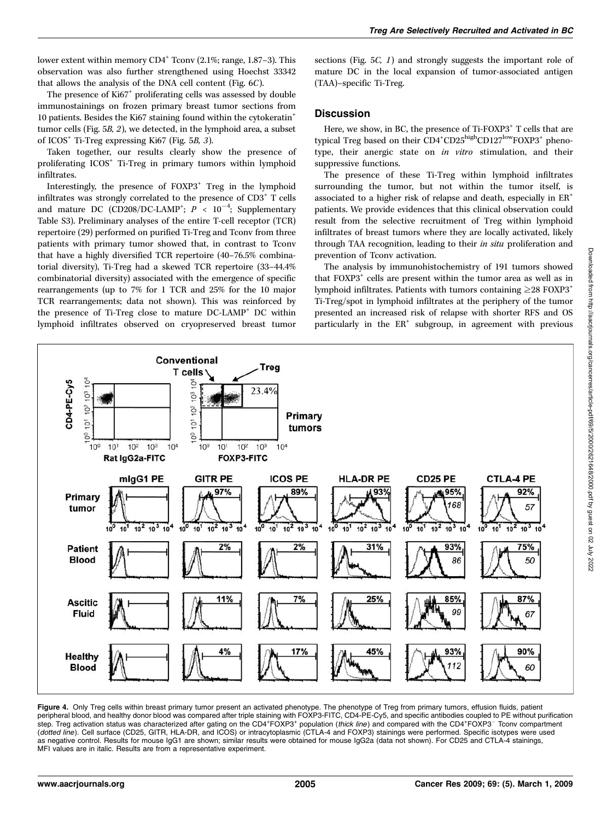lower extent within memory  $CD4^+$  Tconv (2.1%; range, 1.87–3). This observation was also further strengthened using Hoechst 33342 that allows the analysis of the DNA cell content (Fig.  $6C$ ).

The presence of Ki67<sup>+</sup> proliferating cells was assessed by double immunostainings on frozen primary breast tumor sections from 10 patients. Besides the Ki67 staining found within the cytokeratin<sup>+</sup> tumor cells(Fig. 5B, 2), we detected, in the lymphoid area, a subset of ICOS<sup>+</sup> Ti-Treg expressing Ki67 (Fig. 5B, 3).

Taken together, our results clearly show the presence of proliferating ICOS<sup>+</sup> Ti-Treg in primary tumors within lymphoid infiltrates.

Interestingly, the presence of FOXP3<sup>+</sup> Treg in the lymphoid infiltrates was strongly correlated to the presence of CD3<sup>+</sup> T cells and mature DC (CD208/DC-LAMP<sup>+</sup>;  $P$  < 10<sup>-4</sup>; Supplementary Table S3). Preliminary analyses of the entire T-cell receptor (TCR) repertoire (29) performed on purified Ti-Treg and Tconv from three patients with primary tumor showed that, in contrast to Tconv that have a highly diversified TCR repertoire (40–76.5% combinatorial diversity), Ti-Treg had a skewed TCR repertoire (33–44.4% combinatorial diversity) associated with the emergence of specific rearrangements (up to 7% for 1 TCR and 25% for the 10 major TCR rearrangements; data not shown). This was reinforced by the presence of Ti-Treg close to mature DC-LAMP<sup>+</sup> DC within lymphoid infiltrates observed on cryopreserved breast tumor

sections (Fig. 5*C*, 1) and strongly suggests the important role of mature DC in the local expansion of tumor-associated antigen (TAA)–specific Ti-Treg.

## **Discussion**

Here, we show, in BC, the presence of Ti-FOXP3<sup>+</sup> T cells that are typical Treg based on their CD4<sup>+</sup>CD25<sup>high</sup>CD127<sup>low</sup>FOXP3<sup>+</sup> phenotype, their anergic state on in vitro stimulation, and their suppressive functions.

The presence of these Ti-Treg within lymphoid infiltrates surrounding the tumor, but not within the tumor itself, is associated to a higher risk of relapse and death, especially in ER<sup>+</sup> patients. We provide evidences that this clinical observation could result from the selective recruitment of Treg within lymphoid infiltrates of breast tumors where they are locally activated, likely through TAA recognition, leading to their in situ proliferation and prevention of Tconv activation.

The analysis by immunohistochemistry of 191 tumors showed that FOXP3<sup>+</sup> cells are present within the tumor area as well as in lymphoid infiltrates. Patients with tumors containing  $\geq$  28 FOXP3<sup>+</sup> Ti-Treg/spot in lymphoid infiltrates at the periphery of the tumor presented an increased risk of relapse with shorter RFS and OS particularly in the  $ER^+$  subgroup, in agreement with previous



**Figure 4.** Only Treg cells within breast primary tumor present an activated phenotype. The phenotype of Treg from primary tumors, effusion fluids, patient<br>peripheral blood, and healthy donor blood was compared after tripl step. Treg activation status was characterized after gating on the CD4+FOXP3+ population (thick line) and compared with the CD4+FOXP3<sup>-</sup> Tconv compartment (dotted line). Cell surface (CD25, GITR, HLA-DR, and ICOS) or intracytoplasmic (CTLA-4 and FOXP3) stainings were performed. Specific isotypes were used as negative control. Results for mouse IgG1 are shown; similar results were obtained for mouse IgG2a (data not shown). For CD25 and CTLA-4 stainings, MFI values are in italic. Results are from a representative experiment.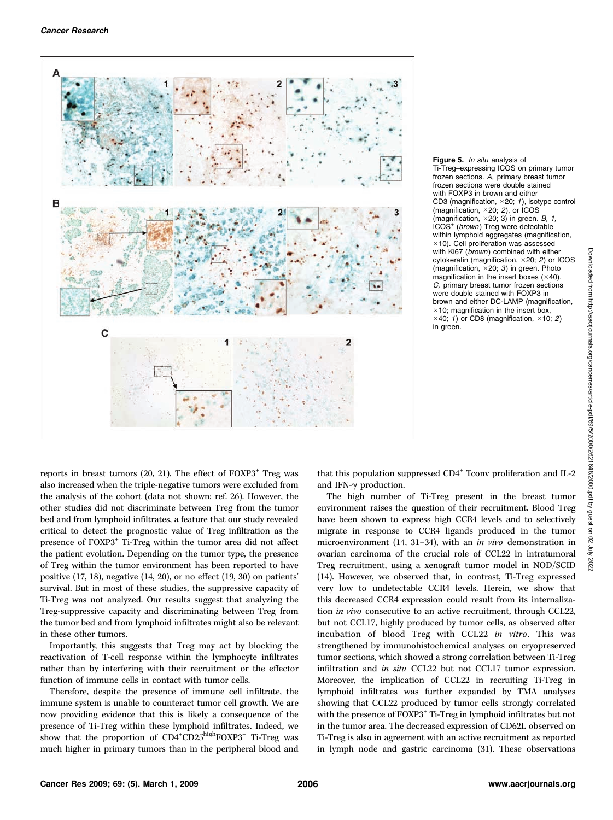

Figure 5. In situ analysis of Ti-Treg–expressing ICOS on primary tumor frozen sections. A, primary breast tumor frozen sections were double stained with FOXP3 in brown and either CD3 (magnification,  $\times$  20; 1), isotype control (magnification,  $\times$  20; 2), or ICOS (magnification,  $\times$  20; 3) in green. B, 1, ICOS<sup>+</sup> (brown) Treg were detectable within lymphoid aggregates (magnification,  $\times$ 10). Cell proliferation was assessed with Ki67 (*brown*) combined with either cytokeratin (magnification,  $\times$ 20; 2) or ICOS (magnification,  $\times$  20; 3) in green. Photo magnification in the insert boxes  $(\times 40)$ . C, primary breast tumor frozen sections were double stained with FOXP3 in brown and either DC-LAMP (magnification,  $\times$ 10; magnification in the insert box,  $\times$ 40; 1) or CD8 (magnification,  $\times$ 10; 2) in green.

reports in breast tumors (20, 21). The effect of  $FOXP3<sup>+</sup>$  Treg was also increased when the triple-negative tumors were excluded from the analysis of the cohort (data not shown; ref. 26). However, the other studies did not discriminate between Treg from the tumor bed and from lymphoid infiltrates, a feature that our study revealed critical to detect the prognostic value of Treg infiltration as the presence of FOXP3<sup>+</sup> Ti-Treg within the tumor area did not affect the patient evolution. Depending on the tumor type, the presence of Treg within the tumor environment hasbeen reported to have positive (17, 18), negative (14, 20), or no effect (19, 30) on patients' survival. But in most of these studies, the suppressive capacity of Ti-Treg was not analyzed. Our results suggest that analyzing the Treg-suppressive capacity and discriminating between Treg from the tumor bed and from lymphoid infiltrates might also be relevant in these other tumors.

Importantly, this suggests that Treg may act by blocking the reactivation of T-cell response within the lymphocyte infiltrates rather than by interfering with their recruitment or the effector function of immune cells in contact with tumor cells.

Therefore, despite the presence of immune cell infiltrate, the immune system is unable to counteract tumor cell growth. We are now providing evidence that this is likely a consequence of the presence of Ti-Treg within these lymphoid infiltrates. Indeed, we show that the proportion of CD4<sup>+</sup>CD25<sup>high</sup>FOXP3<sup>+</sup> Ti-Treg was much higher in primary tumors than in the peripheral blood and that this population suppressed  $CD4^+$  Tconv proliferation and IL-2 and IFN- $\gamma$  production.

The high number of Ti-Treg present in the breast tumor environment raises the question of their recruitment. Blood Treg have been shown to express high CCR4 levels and to selectively migrate in response to CCR4 ligands produced in the tumor microenvironment (14, 31–34), with an in vivo demonstration in ovarian carcinoma of the crucial role of CCL22 in intratumoral Treg recruitment, using a xenograft tumor model in NOD/SCID (14). However, we observed that, in contrast, Ti-Treg expressed very low to undetectable CCR4 levels. Herein, we show that this decreased CCR4 expression could result from its internalization in vivo consecutive to an active recruitment, through CCL22, but not CCL17, highly produced by tumor cells, as observed after incubation of blood Treg with CCL22 in vitro. This was strengthened by immunohistochemical analyses on cryopreserved tumor sections, which showed a strong correlation between Ti-Treg infiltration and in situ CCL22 but not CCL17 tumor expression. Moreover, the implication of CCL22 in recruiting Ti-Treg in lymphoid infiltrates was further expanded by TMA analyses showing that CCL22 produced by tumor cells strongly correlated with the presence of FOXP3<sup>+</sup> Ti-Treg in lymphoid infiltrates but not in the tumor area. The decreased expression of CD62L observed on Ti-Treg is also in agreement with an active recruitment as reported in lymph node and gastric carcinoma (31). These observations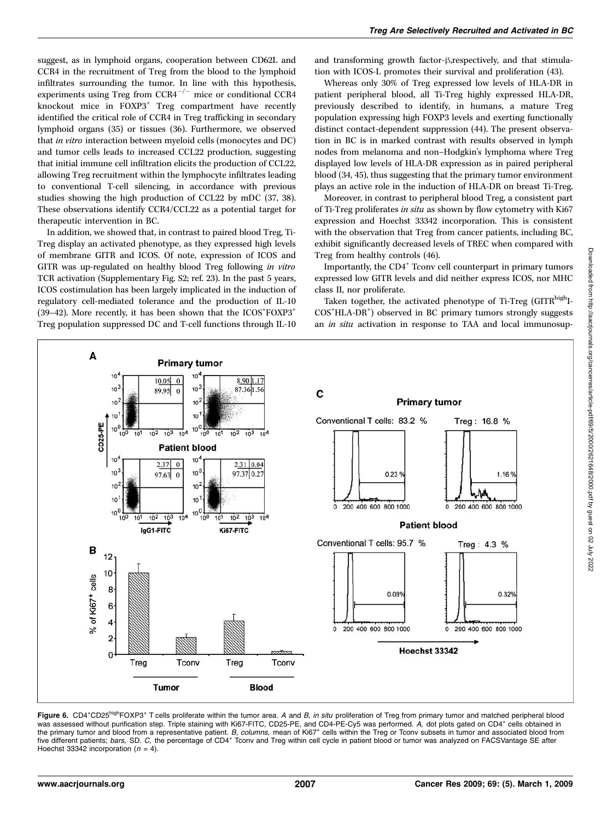suggest, as in lymphoid organs, cooperation between CD62L and CCR4 in the recruitment of Treg from the blood to the lymphoid infiltrates surrounding the tumor. In line with this hypothesis, experiments using Treg from  $CCR4^{-/-}$  mice or conditional CCR4 knockout mice in FOXP3<sup>+</sup> Treg compartment have recently identified the critical role of CCR4 in Treg trafficking in secondary lymphoid organs (35) or tissues (36). Furthermore, we observed that in vitro interaction between myeloid cells (monocytes and DC) and tumor cells leads to increased CCL22 production, suggesting that initial immune cell infiltration elicits the production of CCL22, allowing Treg recruitment within the lymphocyte infiltratesleading to conventional T-cell silencing, in accordance with previous studies showing the high production of CCL22 by mDC (37, 38). These observations identify CCR4/CCL22 as a potential target for therapeutic intervention in BC.

In addition, we showed that, in contrast to paired blood Treg, Ti-Treg display an activated phenotype, as they expressed high levels of membrane GITR and ICOS. Of note, expression of ICOS and GITR was up-regulated on healthy blood Treg following in vitro TCR activation (Supplementary Fig. S2; ref. 23). In the past 5 years, ICOS costimulation has been largely implicated in the induction of regulatory cell-mediated tolerance and the production of IL-10 (39-42). More recently, it has been shown that the  $ICOS$ <sup>+</sup> $FOXP3$ <sup>+</sup> Treg population suppressed DC and T-cell functions through IL-10

and transforming growth factor- $\beta$ , respectively, and that stimulation with ICOS-L promotes their survival and proliferation (43).

Whereas only 30% of Treg expressed low levels of HLA-DR in patient peripheral blood, all Ti-Treg highly expressed HLA-DR, previously described to identify, in humans, a mature Treg population expressing high FOXP3 levels and exerting functionally distinct contact-dependent suppression (44). The present observation in BC is in marked contrast with results observed in lymph nodes from melanoma and non–Hodgkin's lymphoma where Treg displayed low levels of HLA-DR expression as in paired peripheral blood (34, 45), thus suggesting that the primary tumor environment plays an active role in the induction of HLA-DR on breast Ti-Treg.

Moreover, in contrast to peripheral blood Treg, a consistent part of Ti-Treg proliferates in situ as shown by flow cytometry with Ki67 expression and Hoechst 33342 incorporation. This is consistent with the observation that Treg from cancer patients, including BC, exhibit significantly decreased levels of TREC when compared with Treg from healthy controls(46).

Importantly, the CD4<sup>+</sup> Tconv cell counterpart in primary tumors expressed low GITR levels and did neither express ICOS, nor MHC class II, nor proliferate.

Taken together, the activated phenotype of Ti-Treg (GITR<sup>high</sup>I-COS<sup>+</sup> HLA-DR<sup>+</sup> ) observed in BC primary tumors strongly suggests an in situ activation in response to TAA and local immunosup-



Figure 6. CD4+CD25<sup>high</sup>FOXP3+ T cells proliferate within the tumor area. A and B, in situ proliferation of Treg from primary tumor and matched peripheral blood was assessed without purification step. Triple staining with Ki67-FITC, CD25-PE, and CD4-PE-Cy5 was performed. A, dot plots gated on CD4<sup>+</sup> cells obtained in the primary tumor and blood from a representative patient. B, columns, mean of Ki67<sup>+</sup> cells within the Treg or Tconv subsets in tumor and associated blood from five different patients; bars, SD. C, the percentage of CD4+ Tconv and Treg within cell cycle in patient blood or tumor was analyzed on FACSVantage SE after Hoechst 33342 incorporation ( $n = 4$ ).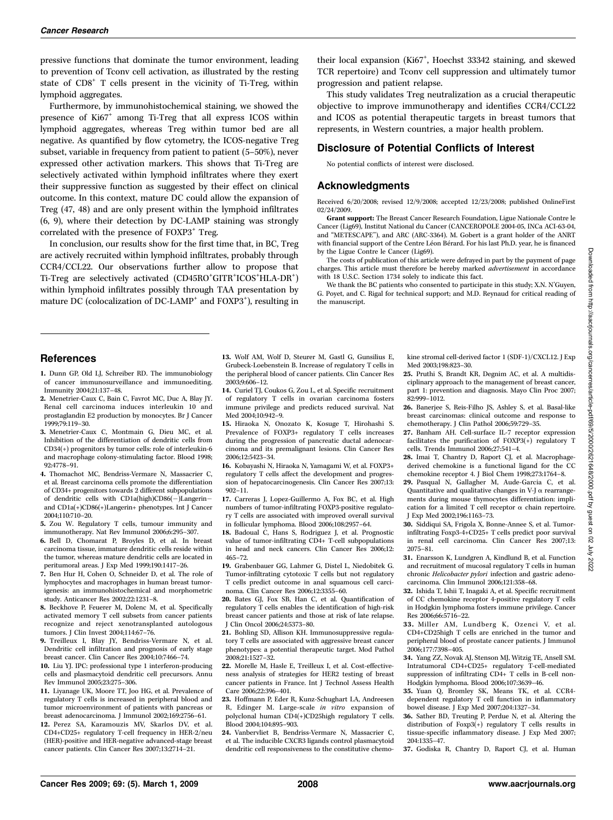pressive functions that dominate the tumor environment, leading to prevention of Tconv cell activation, asillustrated by the resting state of  $CD8<sup>+</sup>$  T cells present in the vicinity of Ti-Treg, within lymphoid aggregates.

Furthermore, by immunohistochemical staining, we showed the presence of Ki67+ among Ti-Treg that all express ICOS within lymphoid aggregates, whereas Treg within tumor bed are all negative. As quantified by flow cytometry, the ICOS-negative Treg subset, variable in frequency from patient to patient (5–50%), never expressed other activation markers. This shows that Ti-Treg are selectively activated within lymphoid infiltrates where they exert their suppressive function as suggested by their effect on clinical outcome. In this context, mature DC could allow the expansion of Treg (47, 48) and are only present within the lymphoid infiltrates (6, 9), where their detection by DC-LAMP staining was strongly correlated with the presence of FOXP3<sup>+</sup> Treg.

In conclusion, our results show for the first time that, in BC, Treg are actively recruited within lymphoid infiltrates, probably through CCR4/CCL22. Our observations further allow to propose that Ti-Treg are selectively activated (CD45RO+GITR+ICOS+HLA-DR+) within lymphoid infiltrates possibly through TAA presentation by mature DC (colocalization of DC-LAMP<sup>+</sup> and FOXP3<sup>+</sup>), resulting in

their local expansion (Ki67<sup>+</sup>, Hoechst 33342 staining, and skewed TCR repertoire) and Tconv cell suppression and ultimately tumor progression and patient relapse.

This study validates Treg neutralization as a crucial therapeutic objective to improve immunotherapy and identifies CCR4/CCL22 and ICOS as potential therapeutic targets in breast tumors that represents, in Western countries, a major health problem.

## Disclosure of Potential Conflicts of Interest

No potential conflicts of interest were disclosed.

## Acknowledgments

Received 6/20/2008; revised 12/9/2008; accepted 12/23/2008; published OnlineFirst 02/24/2009.

Grant support: The Breast Cancer Research Foundation, Ligue Nationale Contre le Cancer (Lig69), Institut National du Cancer (CANCEROPOLE 2004-05, INCa ACI-63-04, and ''METESCAPE''), and ARC (ARC-3364). M. Gobert isa grant holder of the ANRT with financial support of the Centre Léon Bérard. For his last Ph.D. year, he is financed by the Ligue Contre le Cancer (Lig69).

The costs of publication of this article were defrayed in part by the payment of page charges. This article must therefore be hereby marked advertisement in accordance with 18 U.S.C. Section 1734 solely to indicate this fact.

We thank the BC patients who consented to participate in this study; X.N. N'Guyen, G. Poyet, and C. Rigal for technical support; and M.D. Reynaud for critical reading of the manuscript.

#### **References**

- 1. Dunn GP, Old LJ, Schreiber RD. The immunobiology of cancer immunosurveillance and immunoediting. Immunity 2004;21:137–48.
- 2. Menetrier-Caux C, Bain C, Favrot MC, Duc A, Blay JY. Renal cell carcinoma induces interleukin 10 and prostaglandin E2 production by monocytes. Br J Cancer 1999;79:119–30.
- 3. Menetrier-Caux C, Montmain G, Dieu MC, et al. Inhibition of the differentiation of dendritic cells from  $CD34(+)$  progenitors by tumor cells: role of interleukin-6 and macrophage colony-stimulating factor. Blood 1998; 92:4778–91.
- 4. Thomachot MC, Bendriss-Vermare N, Massacrier C, et al. Breast carcinoma cells promote the differentiation of CD34+ progenitors towards  $2$  different subpopulations of dendritic cells with CD1a(high)CD86(-)Langerinand CD1a(+)CD86(+)Langerin+ phenotypes. Int J Cancer 2004;110:710–20.
- 5. Zou W. Regulatory T cells, tumour immunity and immunotherapy. Nat Rev Immunol 2006;6:295–307.
- 6. Bell D, Chomarat P, Broyles D, et al. In breast carcinoma tissue, immature dendritic cells reside within the tumor, whereas mature dendritic cells are located in peritumoral areas. J Exp Med 1999;190:1417–26.
- 7. Ben Hur H, Cohen O, Schneider D, et al. The role of lymphocytes and macrophages in human breast tumorigenesis: an immunohistochemical and morphometric study. Anticancer Res 2002;22:1231–8.
- 8. Beckhove P, Feuerer M, Dolenc M, et al. Specifically activated memory T cell subsets from cancer patients recognize and reject xenotransplanted autologous tumors. J Clin Invest 2004;114:67–76.
- 9. Treilleux I, Blay JY, Bendriss-Vermare N, et al. Dendritic cell infiltration and prognosis of early stage breast cancer. Clin Cancer Res 2004;10:7466–74.
- 10. Liu YJ. IPC: professional type 1 interferon-producing cells and plasmacytoid dendritic cell precursors. Annu Rev Immunol 2005;23:275–306.
- 11. Liyanage UK, Moore TT, Joo HG, et al. Prevalence of regulatory T cells is increased in peripheral blood and tumor microenvironment of patients with pancreas or breast adenocarcinoma. J Immunol 2002;169:2756–61.
- 12. Perez SA, Karamouzis MV, Skarlos DV, et al. CD4+CD25+ regulatory T-cell frequency in HER-2/neu (HER)-positive and HER-negative advanced-stage breast cancer patients. Clin Cancer Res 2007;13:2714–21.
- 13. Wolf AM, Wolf D, Steurer M, Gastl G, Gunsilius E, Grubeck-Loebenstein B. Increase of regulatory T cells in the peripheral blood of cancer patients. Clin Cancer Res 2003;9:606–12.
- 14. Curiel TJ, CoukosG, Zou L, et al. Specific recruitment of regulatory T cells in ovarian carcinoma fosters immune privilege and predicts reduced survival. Nat Med 2004;10:942-9.
- 15. Hiraoka N, Onozato K, Kosuge T, Hirohashi S. Prevalence of FOXP3+ regulatory T cells increases during the progression of pancreatic ductal adenocarcinoma and its premalignant lesions. Clin Cancer Res 2006;12:5423–34.
- 16. Kobayashi N, Hiraoka N, Yamagami W, et al. FOXP3+ regulatory T cells affect the development and progression of hepatocarcinogenesis. Clin Cancer Res 2007;13: 902–11.
- 17. Carreras J, Lopez-Guillermo A, Fox BC, et al. High numbers of tumor-infiltrating FOXP3-positive regulatory T cells are associated with improved overall survival in follicular lymphoma. Blood 2006;108:2957–64.
- 18. Badoual C, Hans S, Rodriguez J, et al. Prognostic value of tumor-infiltrating CD4+ T-cell subpopulations in head and neck cancers. Clin Cancer Res 2006;12: 465–72.
- 19. Grabenbauer GG, Lahmer G, Distel L, Niedobitek G. Tumor-infiltrating cytotoxic T cells but not regulatory T cells predict outcome in anal squamous cell carcinoma. Clin Cancer Res 2006;12:3355-60.
- 20. Bates GJ, Fox SB, Han C, et al. Quantification of regulatory T cells enables the identification of high-risk breast cancer patients and those at risk of late relapse. J Clin Oncol 2006;24:5373–80.
- 21. Bohling SD, Allison KH. Immunosuppressive regulatory T cells are associated with aggressive breast cancer phenotypes: a potential therapeutic target. Mod Pathol 2008;21:1527–32.
- 22. Morelle M, Hasle E, Treilleux I, et al. Cost-effectiveness analysis of strategies for HER2 testing of breast cancer patients in France. Int J Technol Assess Health Care 2006;22:396–401.
- 23. Hoffmann P, Eder R, Kunz-Schughart LA, Andreesen R, Edinger M. Large-scale in vitro expansion of polyclonal human CD4(+)CD25high regulatory T cells. Blood 2004;104:895–903.
- 24. Vanbervliet B, Bendriss-Vermare N, Massacrier C, et al. The inducible CXCR3 ligands control plasmacytoid dendritic cell responsiveness to the constitutive chemo-

kine stromal cell-derived factor 1 (SDF-1)/CXCL12. J Exp Med 2003;198:823–30.

- 25. Pruthi S, Brandt KR, Degnim AC, et al. A multidisciplinary approach to the management of breast cancer, part 1: prevention and diagnosis. Mayo Clin Proc 2007; 82:999–1012.
- 26. Banerjee S, Reis-Filho JS, Ashley S, et al. Basal-like breast carcinomas: clinical outcome and response to chemotherapy. J Clin Pathol 2006;59:729–35.
- 27. Banham AH. Cell-surface IL-7 receptor expression facilitates the purification of  $FOXP3(+)$  regulatory T cells. Trends Immunol 2006;27:541–4.
- 28. Imai T, Chantry D, Raport CI, et al. Macrophagederived chemokine is a functional ligand for the CC chemokine receptor 4. J Biol Chem 1998;273:1764–8.
- 29. Pasqual N, Gallagher M, Aude-Garcia C, et al. Quantitative and qualitative changes in V-J  $\alpha$  rearrangements during mouse thymocytes differentiation: implication for a limited T cell receptor  $\alpha$  chain repertoire. J Exp Med 2002;196:1163–73.
- 30. Siddiqui SA, Frigola X, Bonne-Annee S, et al. Tumorinfiltrating Foxp3-4+CD25+ T cells predict poor survival in renal cell carcinoma. Clin Cancer Res 2007;13: 2075–81.
- 31. Enarsson K, Lundgren A, Kindlund B, et al. Function and recruitment of mucosal regulatory T cells in human chronic Helicobacter pylori infection and gastric adenocarcinoma. Clin Immunol 2006;121:358–68.
- 32. Ishida T, Ishii T, Inagaki A, et al. Specific recruitment of CC chemokine receptor 4-positive regulatory T cells in Hodgkin lymphoma fosters immune privilege. Cancer Res 2006:66:5716-22.
- 33. Miller AM, Lundberg K, Ozenci V, et al. CD4+CD25high T cellsare enriched in the tumor and peripheral blood of prostate cancer patients. J Immunol 2006;177:7398–405.
- 34. Yang ZZ, Novak AJ, Stenson MJ, Witzig TE, Ansell SM. Intratumoral CD4+CD25+ regulatory T-cell-mediated suppression of infiltrating CD4+ T cells in B-cell non-Hodgkin lymphoma. Blood 2006;107:3639–46.
- 35. Yuan Q, Bromley SK, Means TK, et al. CCR4dependent regulatory T cell function in inflammatory bowel disease. J Exp Med 2007;204:1327–34.
- 36. Sather BD, Treuting P, Perdue N, et al. Altering the distribution of Foxp3(+) regulatory T cells results in tissue-specific inflammatory disease. J Exp Med 2007; 204:1335–47.
- 37. Godiska R, Chantry D, Raport CJ, et al. Human